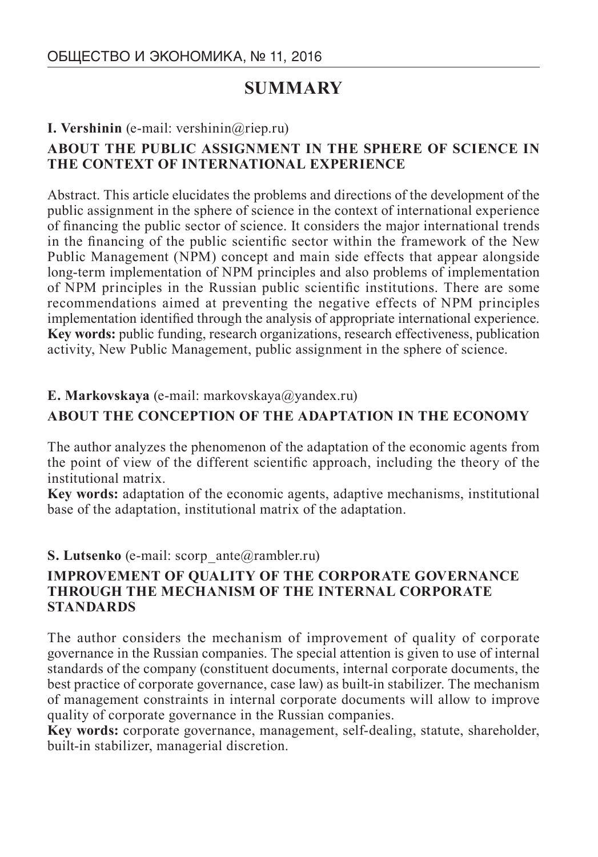# **SUMMARY**

# **I. Vershinin** (e-mail: vershinin@riep.ru)

# **ABOUT THE PUBLIC ASSIGNMENT IN THE SPHERE OF SCIENCE IN THE CONTEXT OF INTERNATIONAL EXPERIENCE**

Abstract. This article elucidates the problems and directions of the development of the public assignment in the sphere of science in the context of international experience of financing the public sector of science. It considers the major international trends in the financing of the public scientific sector within the framework of the New Public Management (NPM) concept and main side effects that appear alongside long-term implementation of NPM principles and also problems of implementation of NPM principles in the Russian public scientific institutions. There are some recommendations aimed at preventing the negative effects of NPM principles implementation identified through the analysis of appropriate international experience. **Key words:** public funding, research organizations, research effectiveness, publication activity, New Public Management, public assignment in the sphere of science.

# **E. Markovskaya** (e-mail: markovskaya@yandex.ru)

# **ABOUT THE CONCEPTION OF THE ADAPTATION IN THE ECONOMY**

The author analyzes the phenomenon of the adaptation of the economic agents from the point of view of the different scientific approach, including the theory of the institutional matrix.

**Key words:** adaptation of the economic agents, adaptive mechanisms, institutional base of the adaptation, institutional matrix of the adaptation.

#### **S. Lutsenko** (e-mail: scorp\_ante@rambler.ru)

#### **IMPROVEMENT OF QUALITY OF THE CORPORATE GOVERNANCE THROUGH THE MECHANISM OF THE INTERNAL CORPORATE STANDARDS**

The author considers the mechanism of improvement of quality of corporate governance in the Russian companies. The special attention is given to use of internal standards of the company (constituent documents, internal corporate documents, the best practice of corporate governance, case law) as built-in stabilizer. The mechanism of management constraints in internal corporate documents will allow to improve quality of corporate governance in the Russian companies.

**Key words:** corporate governance, management, self-dealing, statute, shareholder, built-in stabilizer, managerial discretion.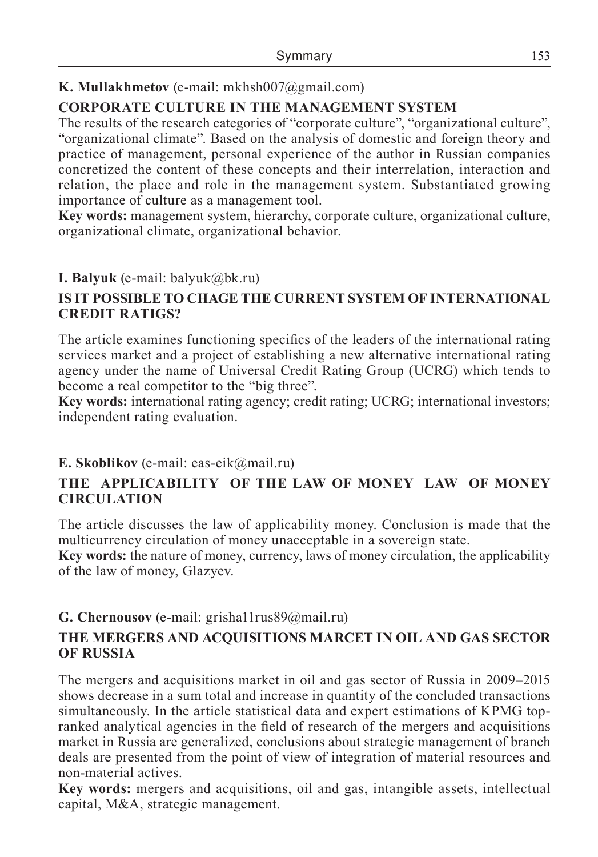# **K. Mullakhmetov** (e-mail: mkhsh007@gmail.com)

# **CORPORATE CULTURE IN THE MANAGEMENT SYSTEM**

The results of the research categories of "corporate culture", "organizational culture", "organizational climate". Based on the analysis of domestic and foreign theory and practice of management, personal experience of the author in Russian companies concretized the content of these concepts and their interrelation, interaction and relation, the place and role in the management system. Substantiated growing importance of culture as a management tool.

**Key words:** management system, hierarchy, corporate culture, organizational culture, organizational climate, organizational behavior.

#### **I. Balyuk** (e-mail: balyuk@bk.ru)

#### **IS IT POSSIBLE TO CHAGE THE CURRENT SYSTEM OF INTERNATIONAL CREDIT RATIGS?**

The article examines functioning specifics of the leaders of the international rating services market and a project of establishing a new alternative international rating agency under the name of Universal Credit Rating Group (UCRG) which tends to become a real competitor to the "big three".

**Key words:** international rating agency; credit rating; UCRG; international investors; independent rating evaluation.

#### **Е. Skoblikov** (e-mail: eas-eik@mail.ru)

#### **THE APPLICABILITY OF THE LAW OF MONEY LAW OF MONEY CIRCULATION**

The article discusses the law of applicability money. Conclusion is made that the multicurrency circulation of money unacceptable in a sovereign state.

**Key words:** the nature of money, currency, laws of money circulation, the applicability of the law of money, Glazyev.

#### **G. Chernousov** (e-mail: grisha11rus89@mail.ru)

#### **THE MERGERS AND ACQUISITIONS MARCET IN OIL AND GAS SECTOR OF RUSSIA**

The mergers and acquisitions market in oil and gas sector of Russia in 2009–2015 shows decrease in a sum total and increase in quantity of the concluded transactions simultaneously. In the article statistical data and expert estimations of KPMG topranked analytical agencies in the field of research of the mergers and acquisitions market in Russia are generalized, conclusions about strategic management of branch deals are presented from the point of view of integration of material resources and non-material actives.

**Key words:** mergers and acquisitions, oil and gas, intangible assets, intellectual capital, M&A, strategic management.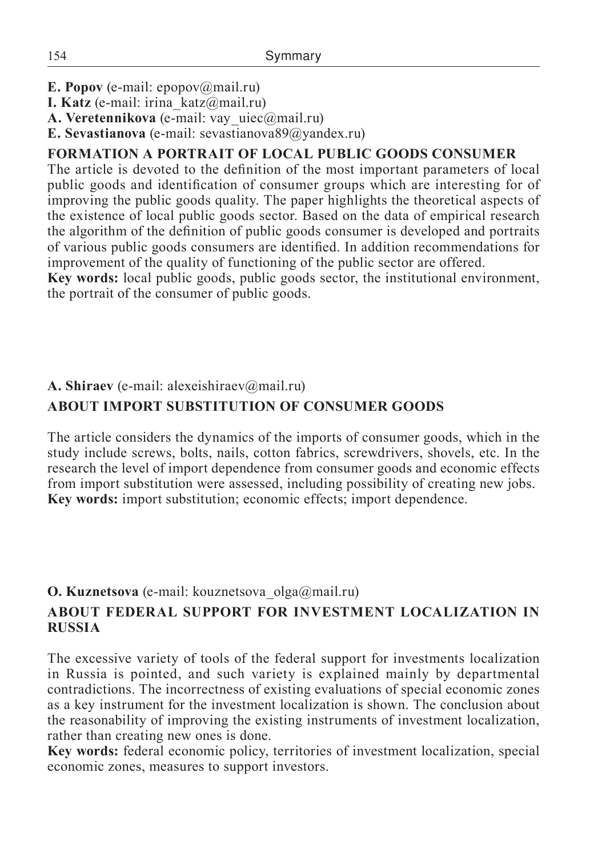**E. Popov** (e-mail: epopov@mail.ru)

**I. Katz** (e-mail: irina\_katz@mail.ru)

**A. Veretennikova** (e-mail: vay\_uiec@mail.ru)

**E. Sevastianova** (e-mail: sevastianova89@yandex.ru)

#### **FORMATION A PORTRAIT OF LOCAL PUBLIC GOODS CONSUMER**

The article is devoted to the definition of the most important parameters of local public goods and identification of consumer groups which are interesting for of improving the public goods quality. The paper highlights the theoretical aspects of the existence of local public goods sector. Based on the data of empirical research the algorithm of the definition of public goods consumer is developed and portraits of various public goods consumers are identified. In addition recommendations for improvement of the quality of functioning of the public sector are offered.

**Key words:** local public goods, public goods sector, the institutional environment, the portrait of the consumer of public goods.

# **А. Shiraev** (e-mail: alexeishiraev@mail.ru) **ABOUT IMPORT SUBSTITUTION OF CONSUMER GOODS**

The article considers the dynamics of the imports of consumer goods, which in the study include screws, bolts, nails, cotton fabrics, screwdrivers, shovels, etc. In the research the level of import dependence from consumer goods and economic effects from import substitution were assessed, including possibility of creating new jobs. **Key words:** import substitution; economic effects; import dependence.

# **O. Kuznetsova** (e-mail: kouznetsova olga@mail.ru)

# **ABOUT FEDERAL SUPPORT FOR INVESTMENT LOCALIZATION IN RUSSIA**

The excessive variety of tools of the federal support for investments localization in Russia is pointed, and such variety is explained mainly by departmental contradictions. The incorrectness of existing evaluations of special economic zones as a key instrument for the investment localization is shown. The conclusion about the reasonability of improving the existing instruments of investment localization, rather than creating new ones is done.

**Key words:** federal economic policy, territories of investment localization, special economic zones, measures to support investors.